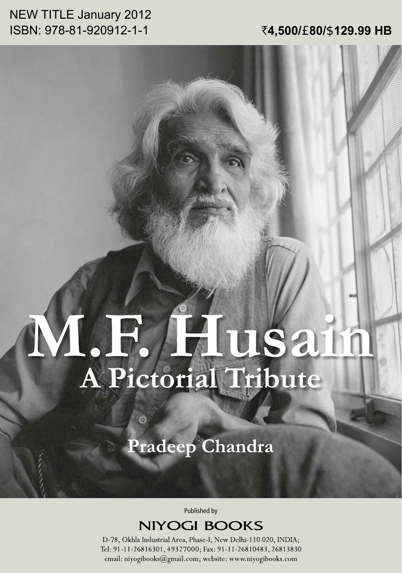## **NEW TITLE January 2012** ISBN: 978-81-920912-1-1

### ₹4,500/£80/\$129.99 HB

# MR. L. F. HUSA

Pradeep Chandra

Ó

Published by

**NIYOGI BOOKS** 

D-78, Okhla Industrial Area, Phase-I; New Delhi-110 020, INDIA; Tel: 91-11-26816301, 49327000; Fax: 91-11-26810483, 26813830 email: niyogibooks@gmail.com; website: www.niyogibooks.com